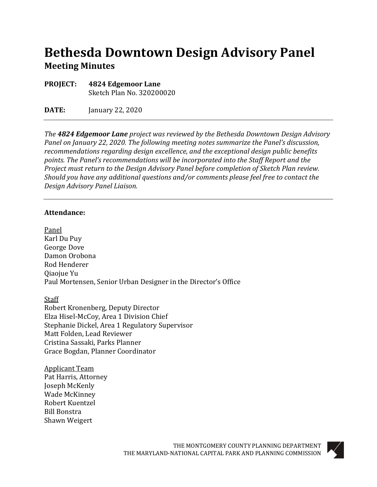# **Bethesda Downtown Design Advisory Panel Meeting Minutes**

**PROJECT: 4824 Edgemoor Lane** Sketch Plan No. 320200020

**DATE:** January 22, 2020

*The 4824 Edgemoor Lane project was reviewed by the Bethesda Downtown Design Advisory Panel on January 22, 2020. The following meeting notes summarize the Panel's discussion, recommendations regarding design excellence, and the exceptional design public benefits points. The Panel's recommendations will be incorporated into the Staff Report and the Project must return to the Design Advisory Panel before completion of Sketch Plan review. Should you have any additional questions and/or comments please feel free to contact the Design Advisory Panel Liaison.*

#### **Attendance:**

Panel Karl Du Puy George Dove Damon Orobona Rod Henderer Qiaojue Yu Paul Mortensen, Senior Urban Designer in the Director's Office

**Staff** Robert Kronenberg, Deputy Director Elza Hisel-McCoy, Area 1 Division Chief Stephanie Dickel, Area 1 Regulatory Supervisor Matt Folden, Lead Reviewer Cristina Sassaki, Parks Planner Grace Bogdan, Planner Coordinator

Applicant Team Pat Harris, Attorney Joseph McKenly Wade McKinney Robert Kuentzel Bill Bonstra Shawn Weigert

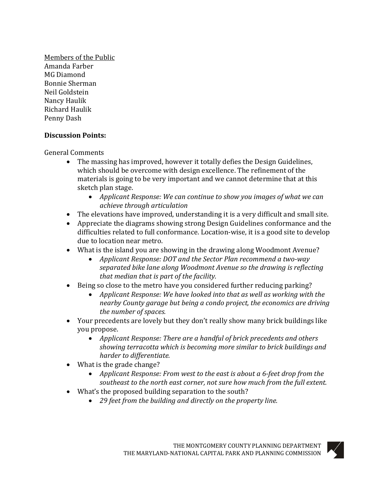Members of the Public Amanda Farber MG Diamond Bonnie Sherman Neil Goldstein Nancy Haulik Richard Haulik Penny Dash

#### **Discussion Points:**

General Comments

- The massing has improved, however it totally defies the Design Guidelines, which should be overcome with design excellence. The refinement of the materials is going to be very important and we cannot determine that at this sketch plan stage.
	- *Applicant Response: We can continue to show you images of what we can achieve through articulation*
- The elevations have improved, understanding it is a very difficult and small site.
- Appreciate the diagrams showing strong Design Guidelines conformance and the difficulties related to full conformance. Location-wise, it is a good site to develop due to location near metro.
- What is the island you are showing in the drawing along Woodmont Avenue?
	- *Applicant Response: DOT and the Sector Plan recommend a two-way separated bike lane along Woodmont Avenue so the drawing is reflecting that median that is part of the facility.*
- Being so close to the metro have you considered further reducing parking?
	- *Applicant Response: We have looked into that as well as working with the nearby County garage but being a condo project, the economics are driving the number of spaces.*
- Your precedents are lovely but they don't really show many brick buildings like you propose.
	- *Applicant Response: There are a handful of brick precedents and others showing terracotta which is becoming more similar to brick buildings and harder to differentiate.*
- What is the grade change?
	- *Applicant Response: From west to the east is about a 6-feet drop from the southeast to the north east corner, not sure how much from the full extent.*
- What's the proposed building separation to the south?
	- *29 feet from the building and directly on the property line.*

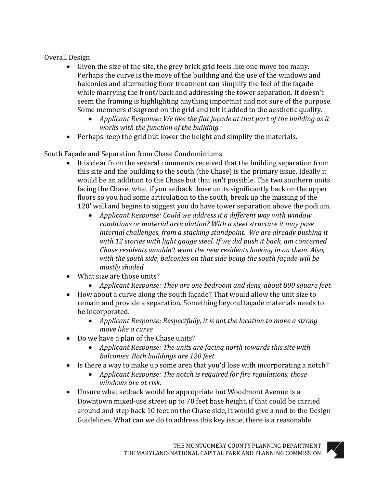Overall Design

- Given the size of the site, the grey brick grid feels like one move too many. Perhaps the curve is the move of the building and the use of the windows and balconies and alternating floor treatment can simplify the feel of the façade while marrying the front/back and addressing the tower separation. It doesn't seem the framing is highlighting anything important and not sure of the purpose. Some members disagreed on the grid and felt it added to the aesthetic quality.
	- *Applicant Response: We like the flat façade at that part of the building as it works with the function of the building.*
- Perhaps keep the grid but lower the height and simplify the materials.

South Façade and Separation from Chase Condominiums

- It is clear from the several comments received that the building separation from this site and the building to the south (the Chase) is the primary issue. Ideally it would be an addition to the Chase but that isn't possible. The two southern units facing the Chase, what if you setback those units significantly back on the upper floors so you had some articulation to the south, break up the massing of the 120' wall and begins to suggest you do have tower separation above the podium.
	- *Applicant Response: Could we address it a different way with window conditions or material articulation? With a steel structure it may pose internal challenges, from a stacking standpoint. We are already pushing it with 12 stories with light gauge steel. If we did push it back, am concerned Chase residents wouldn't want the new residents looking in on them. Also, with the south side, balconies on that side being the south façade will be mostly shaded.*
- What size are those units?
	- *Applicant Response: They are one bedroom and dens, about 800 square feet.*
- How about a curve along the south façade? That would allow the unit size to remain and provide a separation. Something beyond façade materials needs to be incorporated.
	- *Applicant Response: Respectfully, it is not the location to make a strong move like a curve*
- Do we have a plan of the Chase units?
	- *Applicant Response: The units are facing north towards this site with balconies. Both buildings are 120 feet.*
- Is there a way to make up some area that you'd lose with incorporating a notch?
	- *Applicant Response: The notch is required for fire regulations, those windows are at risk.*
- Unsure what setback would be appropriate but Woodmont Avenue is a Downtown mixed-use street up to 70 feet base height, if that could be carried around and step back 10 feet on the Chase side, it would give a nod to the Design Guidelines. What can we do to address this key issue, there is a reasonable

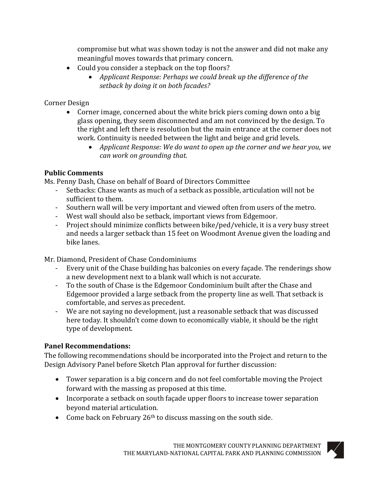compromise but what was shown today is not the answer and did not make any meaningful moves towards that primary concern.

- Could you consider a stepback on the top floors?
	- *Applicant Response: Perhaps we could break up the difference of the setback by doing it on both facades?*

## Corner Design

- Corner image, concerned about the white brick piers coming down onto a big glass opening, they seem disconnected and am not convinced by the design. To the right and left there is resolution but the main entrance at the corner does not work. Continuity is needed between the light and beige and grid levels.
	- *Applicant Response: We do want to open up the corner and we hear you, we can work on grounding that.*

# **Public Comments**

Ms. Penny Dash, Chase on behalf of Board of Directors Committee

- Setbacks: Chase wants as much of a setback as possible, articulation will not be sufficient to them.
- Southern wall will be very important and viewed often from users of the metro.
- West wall should also be setback, important views from Edgemoor.
- Project should minimize conflicts between bike/ped/vehicle, it is a very busy street and needs a larger setback than 15 feet on Woodmont Avenue given the loading and bike lanes.

Mr. Diamond, President of Chase Condominiums

- Every unit of the Chase building has balconies on every façade. The renderings show a new development next to a blank wall which is not accurate.
- To the south of Chase is the Edgemoor Condominium built after the Chase and Edgemoor provided a large setback from the property line as well. That setback is comfortable, and serves as precedent.
- We are not saying no development, just a reasonable setback that was discussed here today. It shouldn't come down to economically viable, it should be the right type of development.

# **Panel Recommendations:**

The following recommendations should be incorporated into the Project and return to the Design Advisory Panel before Sketch Plan approval for further discussion:

- Tower separation is a big concern and do not feel comfortable moving the Project forward with the massing as proposed at this time.
- Incorporate a setback on south façade upper floors to increase tower separation beyond material articulation.
- Come back on February 26<sup>th</sup> to discuss massing on the south side.

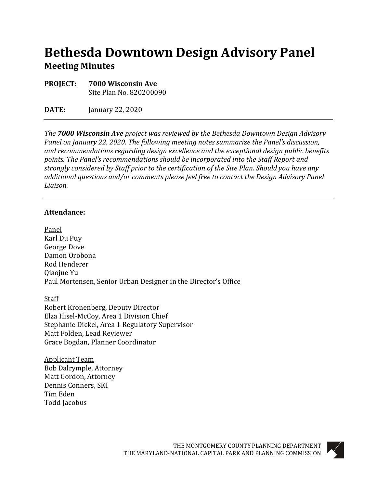# **Bethesda Downtown Design Advisory Panel Meeting Minutes**

**PROJECT: 7000 Wisconsin Ave** Site Plan No. 820200090

**DATE:** January 22, 2020

*The 7000 Wisconsin Ave project was reviewed by the Bethesda Downtown Design Advisory Panel on January 22, 2020. The following meeting notes summarize the Panel's discussion, and recommendations regarding design excellence and the exceptional design public benefits points. The Panel's recommendations should be incorporated into the Staff Report and strongly considered by Staff prior to the certification of the Site Plan. Should you have any additional questions and/or comments please feel free to contact the Design Advisory Panel Liaison.*

#### **Attendance:**

Panel Karl Du Puy George Dove Damon Orobona Rod Henderer Qiaojue Yu Paul Mortensen, Senior Urban Designer in the Director's Office

Staff Robert Kronenberg, Deputy Director Elza Hisel-McCoy, Area 1 Division Chief Stephanie Dickel, Area 1 Regulatory Supervisor Matt Folden, Lead Reviewer Grace Bogdan, Planner Coordinator

Applicant Team Bob Dalrymple, Attorney Matt Gordon, Attorney Dennis Conners, SKI Tim Eden Todd Jacobus

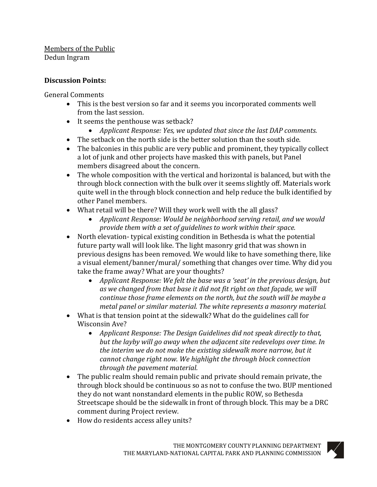### Members of the Public Dedun Ingram

## **Discussion Points:**

General Comments

- This is the best version so far and it seems you incorporated comments well from the last session.
- It seems the penthouse was setback?
	- *Applicant Response: Yes, we updated that since the last DAP comments.*
- The setback on the north side is the better solution than the south side.
- The balconies in this public are very public and prominent, they typically collect a lot of junk and other projects have masked this with panels, but Panel members disagreed about the concern.
- The whole composition with the vertical and horizontal is balanced, but with the through block connection with the bulk over it seems slightly off. Materials work quite well in the through block connection and help reduce the bulk identified by other Panel members.
- What retail will be there? Will they work well with the all glass?
	- *Applicant Response: Would be neighborhood serving retail, and we would provide them with a set of guidelines to work within their space.*
- North elevation- typical existing condition in Bethesda is what the potential future party wall will look like. The light masonry grid that was shown in previous designs has been removed. We would like to have something there, like a visual element/banner/mural/ something that changes over time. Why did you take the frame away? What are your thoughts?
	- *Applicant Response: We felt the base was a 'seat' in the previous design, but as we changed from that base it did not fit right on that façade, we will continue those frame elements on the north, but the south will be maybe a metal panel or similar material. The white represents a masonry material.*
- What is that tension point at the sidewalk? What do the guidelines call for Wisconsin Ave?
	- *Applicant Response: The Design Guidelines did not speak directly to that, but the layby will go away when the adjacent site redevelops over time. In the interim we do not make the existing sidewalk more narrow, but it cannot change right now. We highlight the through block connection through the pavement material.*
- The public realm should remain public and private should remain private, the through block should be continuous so as not to confuse the two. BUP mentioned they do not want nonstandard elements in the public ROW, so Bethesda Streetscape should be the sidewalk in front of through block. This may be a DRC comment during Project review.
- How do residents access alley units?

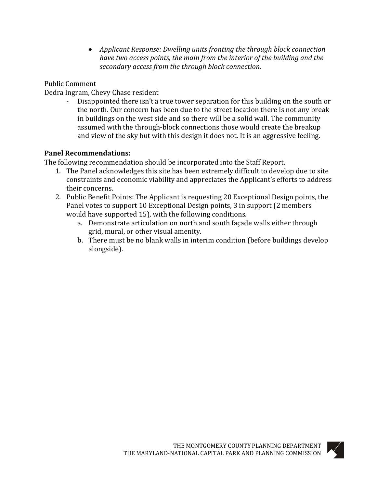• *Applicant Response: Dwelling units fronting the through block connection have two access points, the main from the interior of the building and the secondary access from the through block connection.* 

Public Comment

Dedra Ingram, Chevy Chase resident

- Disappointed there isn't a true tower separation for this building on the south or the north. Our concern has been due to the street location there is not any break in buildings on the west side and so there will be a solid wall. The community assumed with the through-block connections those would create the breakup and view of the sky but with this design it does not. It is an aggressive feeling.

### **Panel Recommendations:**

The following recommendation should be incorporated into the Staff Report.

- 1. The Panel acknowledges this site has been extremely difficult to develop due to site constraints and economic viability and appreciates the Applicant's efforts to address their concerns.
- 2. Public Benefit Points: The Applicant is requesting 20 Exceptional Design points, the Panel votes to support 10 Exceptional Design points, 3 in support (2 members would have supported 15), with the following conditions.
	- a. Demonstrate articulation on north and south façade walls either through grid, mural, or other visual amenity.
	- b. There must be no blank walls in interim condition (before buildings develop alongside).

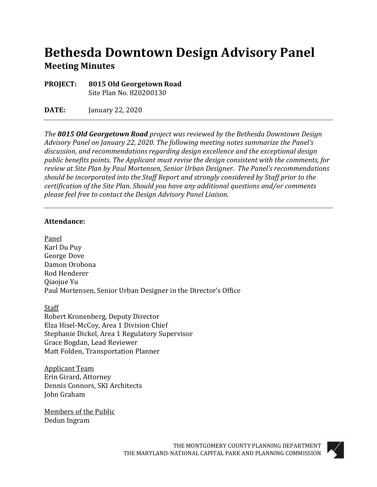# **Bethesda Downtown Design Advisory Panel Meeting Minutes**

**PROJECT: 8015 Old Georgetown Road** Site Plan No. 820200130

**DATE:** January 22, 2020

*The 8015 Old Georgetown Road project was reviewed by the Bethesda Downtown Design Advisory Panel on January 22, 2020. The following meeting notes summarize the Panel's discussion, and recommendations regarding design excellence and the exceptional design public benefits points. The Applicant must revise the design consistent with the comments, for review at Site Plan by Paul Mortensen, Senior Urban Designer. The Panel's recommendations should be incorporated into the Staff Report and strongly considered by Staff prior to the certification of the Site Plan. Should you have any additional questions and/or comments please feel free to contact the Design Advisory Panel Liaison.*

#### **Attendance:**

Panel Karl Du Puy George Dove Damon Orobona Rod Henderer Qiaojue Yu Paul Mortensen, Senior Urban Designer in the Director's Office

Staff Robert Kronenberg, Deputy Director Elza Hisel-McCoy, Area 1 Division Chief Stephanie Dickel, Area 1 Regulatory Supervisor Grace Bogdan, Lead Reviewer Matt Folden, Transportation Planner

Applicant Team Erin Girard, Attorney Dennis Connors, SKI Architects John Graham

Members of the Public Dedun Ingram

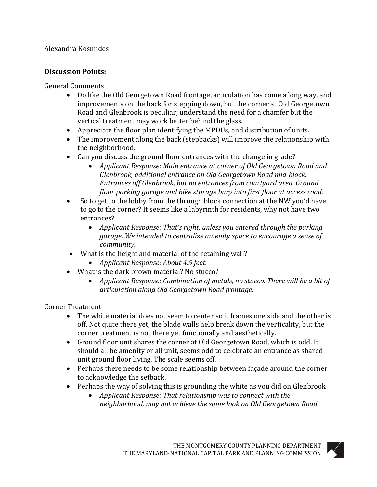### Alexandra Kosmides

### **Discussion Points:**

General Comments

- Do like the Old Georgetown Road frontage, articulation has come a long way, and improvements on the back for stepping down, but the corner at Old Georgetown Road and Glenbrook is peculiar; understand the need for a chamfer but the vertical treatment may work better behind the glass.
- Appreciate the floor plan identifying the MPDUs, and distribution of units.
- The improvement along the back (stepbacks) will improve the relationship with the neighborhood.
- Can you discuss the ground floor entrances with the change in grade?<br>• Annlicant Response: Main entrance at corner of Old Georgetown
	- *Applicant Response: Main entrance at corner of Old Georgetown Road and Glenbrook, additional entrance on Old Georgetown Road mid-block. Entrances off Glenbrook, but no entrances from courtyard area. Ground floor parking garage and bike storage bury into first floor at access road.*
- So to get to the lobby from the through block connection at the NW you'd have to go to the corner? It seems like a labyrinth for residents, why not have two entrances?
	- *Applicant Response: That's right, unless you entered through the parking garage. We intended to centralize amenity space to encourage a sense of community.*
- What is the height and material of the retaining wall?
	- *Applicant Response: About 4.5 feet.*
- What is the dark brown material? No stucco?
	- *Applicant Response: Combination of metals, no stucco. There will be a bit of articulation along Old Georgetown Road frontage.*

Corner Treatment

- The white material does not seem to center so it frames one side and the other is off. Not quite there yet, the blade walls help break down the verticality, but the corner treatment is not there yet functionally and aesthetically.
- Ground floor unit shares the corner at Old Georgetown Road, which is odd. It should all be amenity or all unit, seems odd to celebrate an entrance as shared unit ground floor living. The scale seems off.
- Perhaps there needs to be some relationship between façade around the corner to acknowledge the setback.
- Perhaps the way of solving this is grounding the white as you did on Glenbrook<br>• Applicant Response: That relationship was to connect with the
	- *Applicant Response: That relationship was to connect with the neighborhood, may not achieve the same look on Old Georgetown Road.*

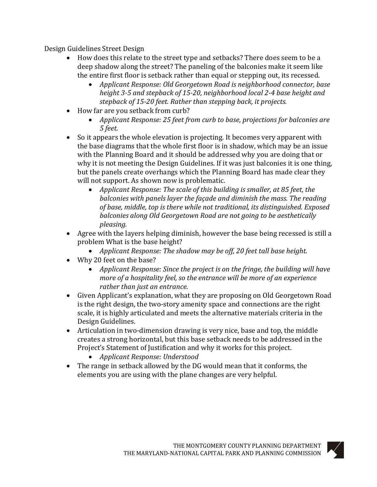Design Guidelines Street Design

- How does this relate to the street type and setbacks? There does seem to be a deep shadow along the street? The paneling of the balconies make it seem like the entire first floor is setback rather than equal or stepping out, its recessed.
	- *Applicant Response: Old Georgetown Road is neighborhood connector, base height 3-5 and stepback of 15-20, neighborhood local 2-4 base height and stepback of 15-20 feet. Rather than stepping back, it projects.*
- How far are you setback from curb?
	- *Applicant Response: 25 feet from curb to base, projections for balconies are 5 feet.*
- So it appears the whole elevation is projecting. It becomes very apparent with the base diagrams that the whole first floor is in shadow, which may be an issue with the Planning Board and it should be addressed why you are doing that or why it is not meeting the Design Guidelines. If it was just balconies it is one thing, but the panels create overhangs which the Planning Board has made clear they will not support. As shown now is problematic.
	- *Applicant Response: The scale of this building is smaller, at 85 feet, the balconies with panels layer the façade and diminish the mass. The reading of base, middle, top is there while not traditional, its distinguished. Exposed balconies along Old Georgetown Road are not going to be aesthetically pleasing.*
- Agree with the layers helping diminish, however the base being recessed is still a problem What is the base height?
	- *Applicant Response: The shadow may be off, 20 feet tall base height.*
- Why 20 feet on the base?
	- *Applicant Response: Since the project is on the fringe, the building will have more of a hospitality feel, so the entrance will be more of an experience rather than just an entrance.*
- Given Applicant's explanation, what they are proposing on Old Georgetown Road is the right design, the two-story amenity space and connections are the right scale, it is highly articulated and meets the alternative materials criteria in the Design Guidelines.
- Articulation in two-dimension drawing is very nice, base and top, the middle creates a strong horizontal, but this base setback needs to be addressed in the Project's Statement of Justification and why it works for this project.
	- *Applicant Response: Understood*
- The range in setback allowed by the DG would mean that it conforms, the elements you are using with the plane changes are very helpful.